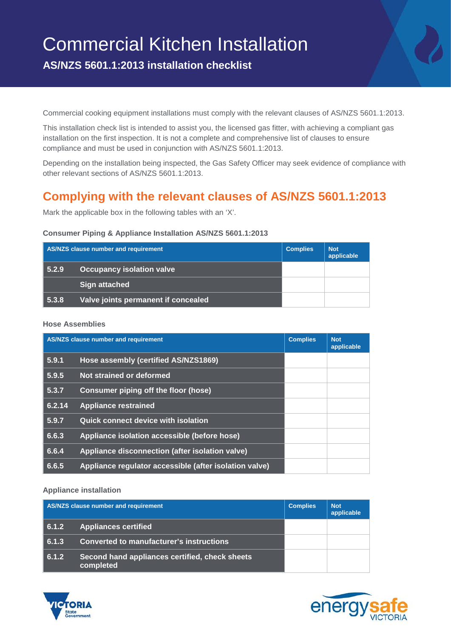# Commercial Kitchen Installation

**AS/NZS 5601.1:2013 installation checklist**

Commercial cooking equipment installations must comply with the relevant clauses of AS/NZS 5601.1:2013.

This installation check list is intended to assist you, the licensed gas fitter, with achieving a compliant gas installation on the first inspection. It is not a complete and comprehensive list of clauses to ensure compliance and must be used in conjunction with AS/NZS 5601.1:2013.

Depending on the installation being inspected, the Gas Safety Officer may seek evidence of compliance with other relevant sections of AS/NZS 5601.1:2013.

# **Complying with the relevant clauses of AS/NZS 5601.1:2013**

Mark the applicable box in the following tables with an 'X'.

#### **Consumer Piping & Appliance Installation AS/NZS 5601.1:2013**

| AS/NZS clause number and requirement |                                     | <b>Complies</b> | <b>Not</b><br>applicable |
|--------------------------------------|-------------------------------------|-----------------|--------------------------|
| 5.2.9                                | <b>Occupancy isolation valve</b>    |                 |                          |
|                                      | <b>Sign attached</b>                |                 |                          |
| 5.3.8                                | Valve joints permanent if concealed |                 |                          |

#### **Hose Assemblies**

| AS/NZS clause number and requirement |                                                        | <b>Complies</b> | <b>Not</b><br>applicable |
|--------------------------------------|--------------------------------------------------------|-----------------|--------------------------|
| 5.9.1                                | Hose assembly (certified AS/NZS1869)                   |                 |                          |
| 5.9.5                                | Not strained or deformed                               |                 |                          |
| 5.3.7                                | <b>Consumer piping off the floor (hose)</b>            |                 |                          |
| 6.2.14                               | <b>Appliance restrained</b>                            |                 |                          |
| 5.9.7                                | <b>Quick connect device with isolation</b>             |                 |                          |
| 6.6.3                                | Appliance isolation accessible (before hose)           |                 |                          |
| 6.6.4                                | Appliance disconnection (after isolation valve)        |                 |                          |
| 6.6.5                                | Appliance regulator accessible (after isolation valve) |                 |                          |

#### **Appliance installation**

| AS/NZS clause number and requirement |                                                             | <b>Complies</b> | <b>Not</b><br>applicable |
|--------------------------------------|-------------------------------------------------------------|-----------------|--------------------------|
| 6.1.2                                | <b>Appliances certified</b>                                 |                 |                          |
| 6.1.3                                | Converted to manufacturer's instructions                    |                 |                          |
| 6.1.2                                | Second hand appliances certified, check sheets<br>completed |                 |                          |



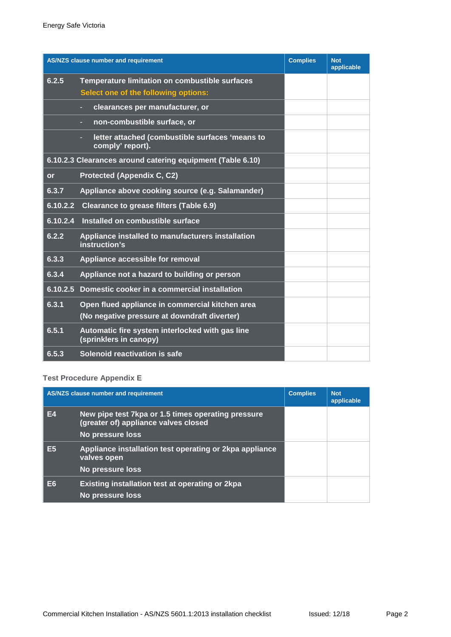|           | <b>AS/NZS clause number and requirement</b>                               | <b>Complies</b> | <b>Not</b><br>applicable |
|-----------|---------------------------------------------------------------------------|-----------------|--------------------------|
| 6.2.5     | <b>Temperature limitation on combustible surfaces</b>                     |                 |                          |
|           | Select one of the following options:                                      |                 |                          |
|           | clearances per manufacturer, or                                           |                 |                          |
|           | non-combustible surface, or                                               |                 |                          |
|           | letter attached (combustible surfaces 'means to<br>comply' report).       |                 |                          |
|           | 6.10.2.3 Clearances around catering equipment (Table 6.10)                |                 |                          |
| <b>or</b> | <b>Protected (Appendix C, C2)</b>                                         |                 |                          |
| 6.3.7     | Appliance above cooking source (e.g. Salamander)                          |                 |                          |
| 6.10.2.2  | <b>Clearance to grease filters (Table 6.9)</b>                            |                 |                          |
| 6.10.2.4  | Installed on combustible surface                                          |                 |                          |
| 6.2.2     | Appliance installed to manufacturers installation<br>instruction's        |                 |                          |
| 6.3.3     | Appliance accessible for removal                                          |                 |                          |
| 6.3.4     | Appliance not a hazard to building or person                              |                 |                          |
| 6.10.2.5  | Domestic cooker in a commercial installation                              |                 |                          |
| 6.3.1     | Open flued appliance in commercial kitchen area                           |                 |                          |
|           | (No negative pressure at downdraft diverter)                              |                 |                          |
| 6.5.1     | Automatic fire system interlocked with gas line<br>(sprinklers in canopy) |                 |                          |
| 6.5.3     | Solenoid reactivation is safe                                             |                 |                          |

# **Test Procedure Appendix E**

| AS/NZS clause number and requirement |                                                                                                                | <b>Complies</b> | <b>Not</b><br>applicable |
|--------------------------------------|----------------------------------------------------------------------------------------------------------------|-----------------|--------------------------|
| E4                                   | New pipe test 7kpa or 1.5 times operating pressure<br>(greater of) appliance valves closed<br>No pressure loss |                 |                          |
| E5                                   | Appliance installation test operating or 2kpa appliance<br>valves open<br>No pressure loss                     |                 |                          |
| E6.                                  | Existing installation test at operating or 2kpa<br>No pressure loss                                            |                 |                          |